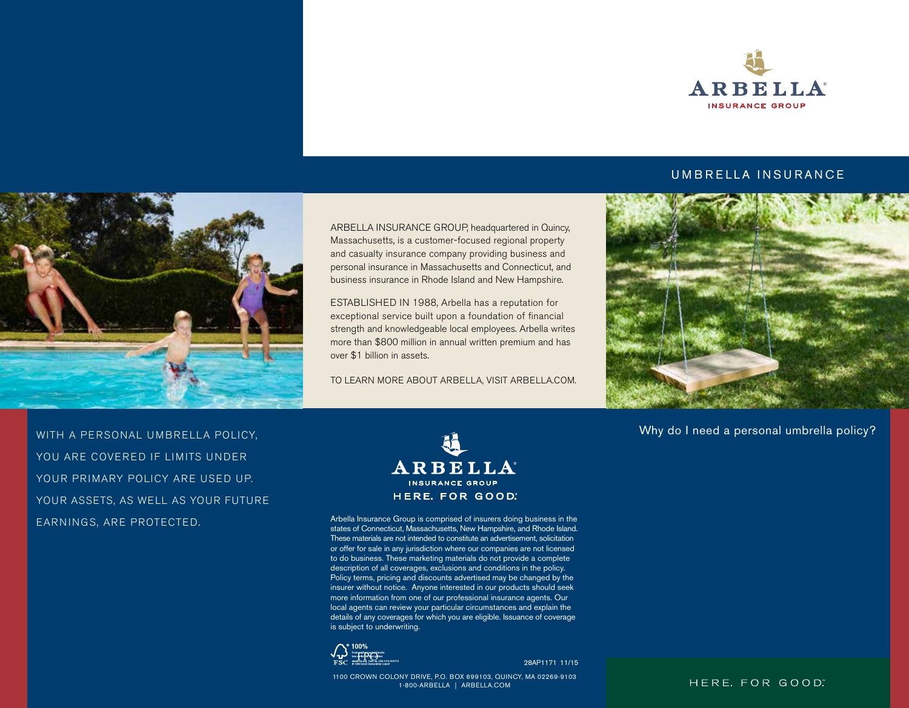

#### UMBRELLA INSURANCE



WITH A PERSONAL UMBRELLA POLICY,

YOUR ASSETS, AS WELL AS YOUR FUTURE

YOU ARE COVERED IF LIMITS UNDER YOUR PRIMARY POLICY ARE USED UP.

EARNINGS, ARE PROTECTED.

ARBELLA INSURANCE GROUP, headquartered in Quincy, Massachusetts, is a customer-focused regional property and casualty insurance company providing business and personal insurance in Massachusetts and Connecticut, and business insurance in Rhode Island and New Hampshire.

ESTABLISHED IN 1988, Arbella has a reputation for exceptional service built upon a foundation of financial strength and knowledgeable local employees. Arbella writes more than \$800 million in annual written premium and has over \$1 billion in assets.

TO LEARN MORE ABOUT ARBELLA, VISIT ARBELLA.COM.



Arbella Insurance Group is comprised of insurers doing business in the states of Connecticut, Massachusetts, New Hampshire, and Rhode Island. These materials are not intended to constitute an advertisement, solicitation or offer for sale in any jurisdiction where our companies are not licensed to do business. These marketing materials do not provide a complete description of all coverages, exclusions and conditions in the policy. Policy terms, pricing and discounts advertised may be changed by the insurer without notice. Anyone interested in our products should seek more information from one of our professional insurance agents. Our local agents can review your particular circumstances and explain the details of any coverages for which you are eligible. Issuance of coverage is subject to underwriting.



28AP1171 11/15

1100 CROWN COLONY DRIVE, P.O. BOX 699103, QUINCY, MA 02269-9103 1-800-ARBELLA | ARBELLA.COM



Why do I need a personal umbrella policy?

HERE. FOR GOOD"